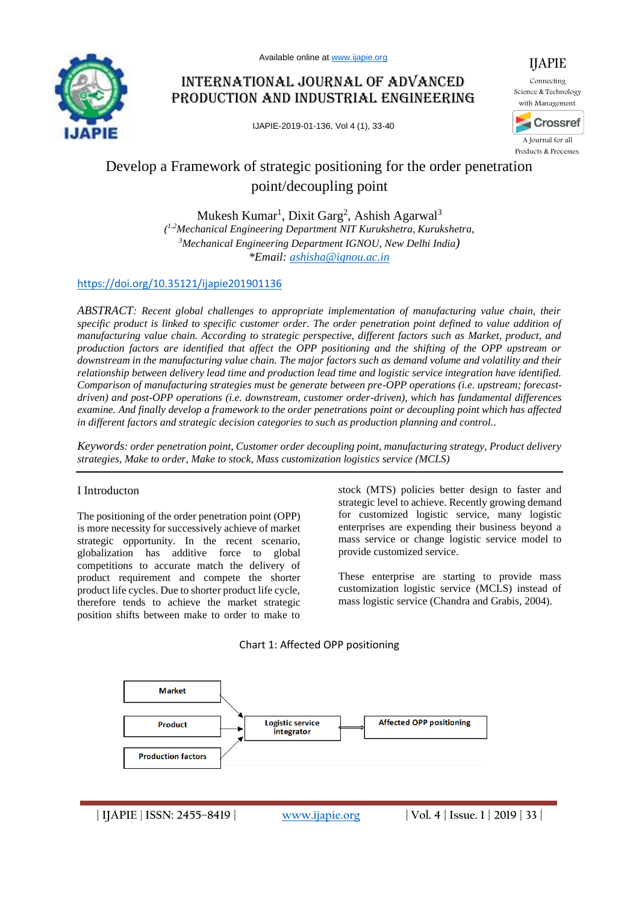

# International Journal of Advanced Production and Industrial Engineering

IJAPIE-2019-01-136, Vol 4 (1), 33-40



Science & Technology with Management.



A Journal for all Products & Processes.

# Develop a Framework of strategic positioning for the order penetration point/decoupling point

Mukesh Kumar<sup>1</sup>, Dixit Garg<sup>2</sup>, Ashish Agarwal<sup>3</sup> *( 1,2Mechanical Engineering Department NIT Kurukshetra, Kurukshetra, <sup>3</sup>Mechanical Engineering Department IGNOU, New Delhi India) \*Email: [ashisha@ignou.ac.in](mailto:ashisha@ignou.ac.in)*

## <https://doi.org/10.35121/ijapie201901136>

*ABSTRACT: Recent global challenges to appropriate implementation of manufacturing value chain, their specific product is linked to specific customer order. The order penetration point defined to value addition of manufacturing value chain. According to strategic perspective, different factors such as Market, product, and production factors are identified that affect the OPP positioning and the shifting of the OPP upstream or downstream in the manufacturing value chain. The major factors such as demand volume and volatility and their relationship between delivery lead time and production lead time and logistic service integration have identified. Comparison of manufacturing strategies must be generate between pre-OPP operations (i.e. upstream; forecastdriven) and post-OPP operations (i.e. downstream, customer order-driven), which has fundamental differences examine. And finally develop a framework to the order penetrations point or decoupling point which has affected in different factors and strategic decision categories to such as production planning and control..*

*Keywords: order penetration point, Customer order decoupling point, manufacturing strategy, Product delivery strategies, Make to order, Make to stock, Mass customization logistics service (MCLS)*

#### I Introducton

The positioning of the order penetration point (OPP) is more necessity for successively achieve of market strategic opportunity. In the recent scenario, globalization has additive force to global competitions to accurate match the delivery of product requirement and compete the shorter product life cycles. Due to shorter product life cycle, therefore tends to achieve the market strategic position shifts between make to order to make to

stock (MTS) policies better design to faster and strategic level to achieve. Recently growing demand for customized logistic service, many logistic enterprises are expending their business beyond a mass service or change logistic service model to provide customized service.

These enterprise are starting to provide mass customization logistic service (MCLS) instead of mass logistic service (Chandra and Grabis, 2004).





**| IJAPIE** | **ISSN: 2455–8419 | [www.ijapie.org](http://www.ijapie.org/) | Vol. 4 | Issue. 1 | 2019 | 33 |**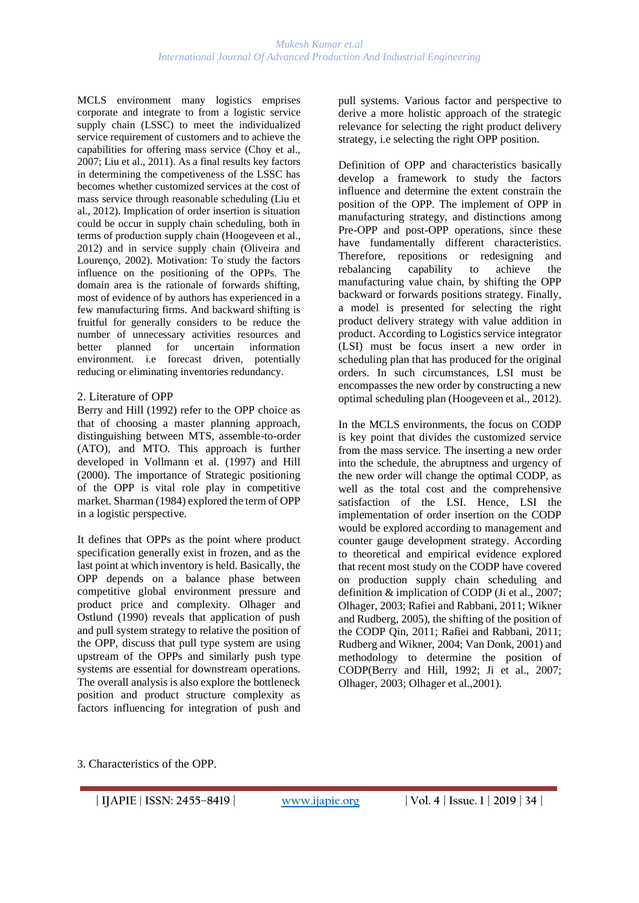MCLS environment many logistics emprises corporate and integrate to from a logistic service supply chain (LSSC) to meet the individualized service requirement of customers and to achieve the capabilities for offering mass service (Choy et al., 2007; Liu et al., 2011). As a final results key factors in determining the competiveness of the LSSC has becomes whether customized services at the cost of mass service through reasonable scheduling (Liu et al., 2012). Implication of order insertion is situation could be occur in supply chain scheduling, both in terms of production supply chain (Hoogeveen et al., 2012) and in service supply chain (Oliveira and Lourenço, 2002). Motivation: To study the factors influence on the positioning of the OPPs. The domain area is the rationale of forwards shifting, most of evidence of by authors has experienced in a few manufacturing firms. And backward shifting is fruitful for generally considers to be reduce the number of unnecessary activities resources and better planned for uncertain information environment. i.e forecast driven, potentially reducing or eliminating inventories redundancy.

### 2. Literature of OPP

Berry and Hill (1992) refer to the OPP choice as that of choosing a master planning approach, distinguishing between MTS, assemble-to-order (ATO), and MTO. This approach is further developed in Vollmann et al. (1997) and Hill (2000). The importance of Strategic positioning of the OPP is vital role play in competitive market. Sharman (1984) explored the term of OPP in a logistic perspective.

It defines that OPPs as the point where product specification generally exist in frozen, and as the last point at which inventory is held. Basically, the OPP depends on a balance phase between competitive global environment pressure and product price and complexity. Olhager and Ostlund (1990) reveals that application of push and pull system strategy to relative the position of the OPP, discuss that pull type system are using upstream of the OPPs and similarly push type systems are essential for downstream operations. The overall analysis is also explore the bottleneck position and product structure complexity as factors influencing for integration of push and pull systems. Various factor and perspective to derive a more holistic approach of the strategic relevance for selecting the right product delivery strategy, i.e selecting the right OPP position.

Definition of OPP and characteristics basically develop a framework to study the factors influence and determine the extent constrain the position of the OPP. The implement of OPP in manufacturing strategy, and distinctions among Pre-OPP and post-OPP operations, since these have fundamentally different characteristics. Therefore, repositions or redesigning and rebalancing capability to achieve the manufacturing value chain, by shifting the OPP backward or forwards positions strategy. Finally, a model is presented for selecting the right product delivery strategy with value addition in product. According to Logistics service integrator (LSI) must be focus insert a new order in scheduling plan that has produced for the original orders. In such circumstances, LSI must be encompasses the new order by constructing a new optimal scheduling plan (Hoogeveen et al., 2012).

In the MCLS environments, the focus on CODP is key point that divides the customized service from the mass service. The inserting a new order into the schedule, the abruptness and urgency of the new order will change the optimal CODP, as well as the total cost and the comprehensive satisfaction of the LSI. Hence, LSI the implementation of order insertion on the CODP would be explored according to management and counter gauge development strategy. According to theoretical and empirical evidence explored that recent most study on the CODP have covered on production supply chain scheduling and definition & implication of CODP (Ji et al., 2007; Olhager, 2003; Rafiei and Rabbani, 2011; Wikner and Rudberg, 2005), the shifting of the position of the CODP Qin, 2011; Rafiei and Rabbani, 2011; Rudberg and Wikner, 2004; Van Donk, 2001) and methodology to determine the position of CODP(Berry and Hill, 1992; Ji et al., 2007; Olhager, 2003; Olhager et al.,2001).

3. Characteristics of the OPP.

**<sup>|</sup> IJAPIE** | **ISSN: 2455–8419 | [www.ijapie.org](http://www.ijapie.org/) | Vol. 4 | Issue. 1 | 2019 | 34 |**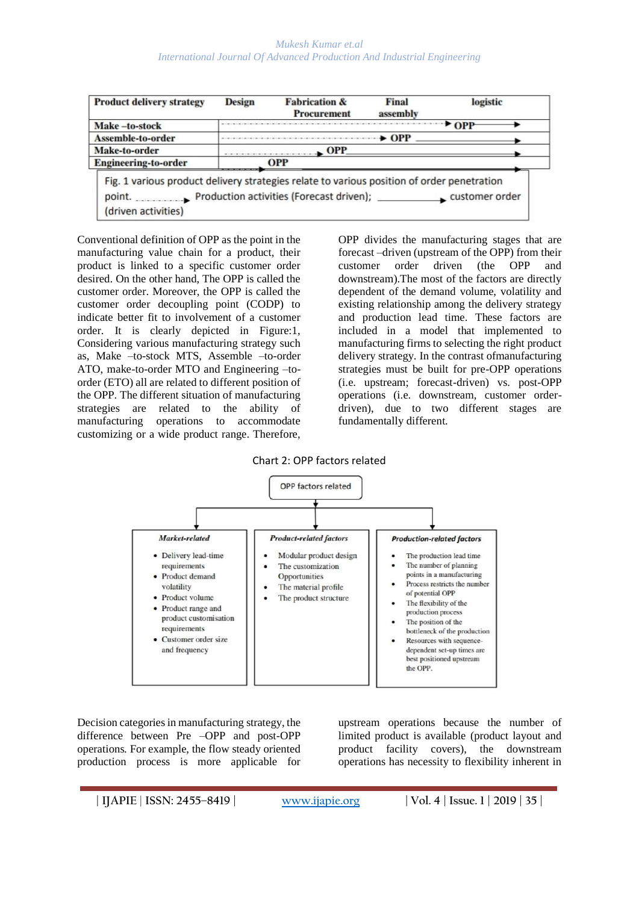| <b>Product delivery strategy</b>                                                                                                                                     | <b>Design</b> | <b>Fabrication &amp;</b><br><b>Procurement</b> | Final<br>assembly | logistic             |
|----------------------------------------------------------------------------------------------------------------------------------------------------------------------|---------------|------------------------------------------------|-------------------|----------------------|
| Make-to-stock                                                                                                                                                        |               |                                                |                   | $\triangleright$ OPP |
| Assemble-to-order                                                                                                                                                    |               |                                                | $\rightarrow$ OPP |                      |
| Make-to-order                                                                                                                                                        |               | $\blacksquare$ OPP                             |                   |                      |
| <b>Engineering-to-order</b>                                                                                                                                          | <b>OPP</b>    |                                                |                   |                      |
| Fig. 1 various product delivery strategies relate to various position of order penetration<br>point. Production activities (Forecast driven);<br>(driven activities) |               |                                                |                   | customer order       |

Conventional definition of OPP as the point in the manufacturing value chain for a product, their product is linked to a specific customer order desired. On the other hand, The OPP is called the customer order. Moreover, the OPP is called the customer order decoupling point (CODP) to indicate better fit to involvement of a customer order. It is clearly depicted in Figure:1, Considering various manufacturing strategy such as, Make –to-stock MTS, Assemble –to-order ATO, make-to-order MTO and Engineering –toorder (ETO) all are related to different position of the OPP. The different situation of manufacturing strategies are related to the ability of manufacturing operations to accommodate customizing or a wide product range. Therefore,

OPP divides the manufacturing stages that are forecast –driven (upstream of the OPP) from their customer order driven (the OPP and downstream).The most of the factors are directly dependent of the demand volume, volatility and existing relationship among the delivery strategy and production lead time. These factors are included in a model that implemented to manufacturing firms to selecting the right product delivery strategy. In the contrast ofmanufacturing strategies must be built for pre-OPP operations (i.e. upstream; forecast-driven) vs. post-OPP operations (i.e. downstream, customer orderdriven), due to two different stages are fundamentally different.

#### Chart 2: OPP factors related



Decision categories in manufacturing strategy, the difference between Pre –OPP and post-OPP operations. For example, the flow steady oriented production process is more applicable for

upstream operations because the number of limited product is available (product layout and product facility covers), the downstream operations has necessity to flexibility inherent in

**| IJAPIE** | **ISSN: 2455–8419 | [www.ijapie.org](http://www.ijapie.org/) | Vol. 4 | Issue. 1 | 2019 | 35 |**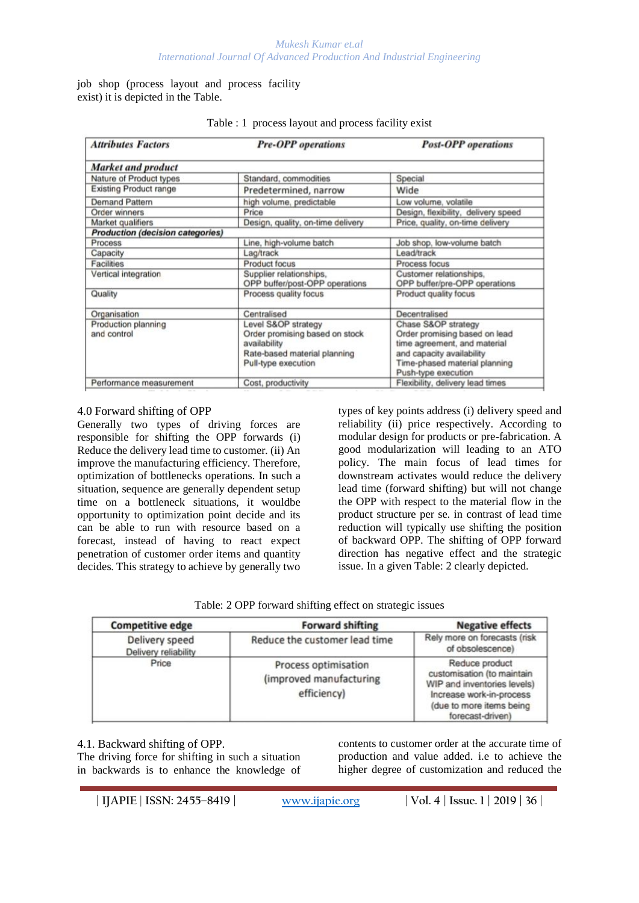job shop (process layout and process facility exist) it is depicted in the Table.

| <b>Attributes Factors</b>               | <b>Pre-OPP</b> operations                                                                                                    | <b>Post-OPP</b> operations                                                                                                                                                |  |
|-----------------------------------------|------------------------------------------------------------------------------------------------------------------------------|---------------------------------------------------------------------------------------------------------------------------------------------------------------------------|--|
| <b>Market and product</b>               |                                                                                                                              |                                                                                                                                                                           |  |
| Nature of Product types                 | Standard, commodities                                                                                                        | Special                                                                                                                                                                   |  |
| <b>Existing Product range</b>           | Predetermined, narrow                                                                                                        | Wide                                                                                                                                                                      |  |
| <b>Demand Pattern</b>                   | high volume, predictable                                                                                                     | Low volume, volatile                                                                                                                                                      |  |
| Order winners                           | Price                                                                                                                        | Design, flexibility, delivery speed                                                                                                                                       |  |
| Market qualifiers                       | Design, quality, on-time delivery                                                                                            | Price, quality, on-time delivery                                                                                                                                          |  |
| <b>Production (decision categories)</b> |                                                                                                                              |                                                                                                                                                                           |  |
| Process                                 | Line, high-volume batch                                                                                                      | Job shop, low-volume batch                                                                                                                                                |  |
| Capacity                                | Lag/track                                                                                                                    | Lead/track                                                                                                                                                                |  |
| <b>Facilities</b>                       | <b>Product focus</b>                                                                                                         | Process focus                                                                                                                                                             |  |
| Vertical integration                    | Supplier relationships,<br>OPP buffer/post-OPP operations                                                                    | Customer relationships.<br>OPP buffer/pre-OPP operations                                                                                                                  |  |
| Quality                                 | Process quality focus                                                                                                        | Product quality focus                                                                                                                                                     |  |
| Organisation                            | Centralised                                                                                                                  | Decentralised                                                                                                                                                             |  |
| Production planning<br>and control      | Level S&OP strategy<br>Order promising based on stock<br>availability<br>Rate-based material planning<br>Pull-type execution | Chase S&OP strategy<br>Order promising based on lead<br>time agreement, and material<br>and capacity availability<br>Time-phased material planning<br>Push-type execution |  |
| Performance measurement                 | Cost, productivity                                                                                                           | Flexibility, delivery lead times                                                                                                                                          |  |

#### Table : 1 process layout and process facility exist

### 4.0 Forward shifting of OPP

Generally two types of driving forces are responsible for shifting the OPP forwards (i) Reduce the delivery lead time to customer. (ii) An improve the manufacturing efficiency. Therefore, optimization of bottlenecks operations. In such a situation, sequence are generally dependent setup time on a bottleneck situations, it wouldbe opportunity to optimization point decide and its can be able to run with resource based on a forecast, instead of having to react expect penetration of customer order items and quantity decides. This strategy to achieve by generally two

types of key points address (i) delivery speed and reliability (ii) price respectively. According to modular design for products or pre-fabrication. A good modularization will leading to an ATO policy. The main focus of lead times for downstream activates would reduce the delivery lead time (forward shifting) but will not change the OPP with respect to the material flow in the product structure per se. in contrast of lead time reduction will typically use shifting the position of backward OPP. The shifting of OPP forward direction has negative effect and the strategic issue. In a given Table: 2 clearly depicted.

| Table: 2 OPP forward shifting effect on strategic issues |  |  |  |
|----------------------------------------------------------|--|--|--|
|                                                          |  |  |  |

| <b>Competitive edge</b>                | <b>Forward shifting</b>                                        | <b>Negative effects</b>                                                                                                                                 |
|----------------------------------------|----------------------------------------------------------------|---------------------------------------------------------------------------------------------------------------------------------------------------------|
| Delivery speed<br>Delivery reliability | Reduce the customer lead time                                  | Rely more on forecasts (risk<br>of obsolescence)                                                                                                        |
| Price                                  | Process optimisation<br>(improved manufacturing<br>efficiency) | Reduce product<br>customisation (to maintain<br>WIP and inventories levels)<br>Increase work-in-process<br>(due to more items being<br>forecast-driven) |

#### 4.1. Backward shifting of OPP.

The driving force for shifting in such a situation in backwards is to enhance the knowledge of contents to customer order at the accurate time of production and value added. i.e to achieve the higher degree of customization and reduced the

**| IJAPIE** | **ISSN: 2455–8419 | [www.ijapie.org](http://www.ijapie.org/) | Vol. 4 | Issue. 1 | 2019 | 36 |**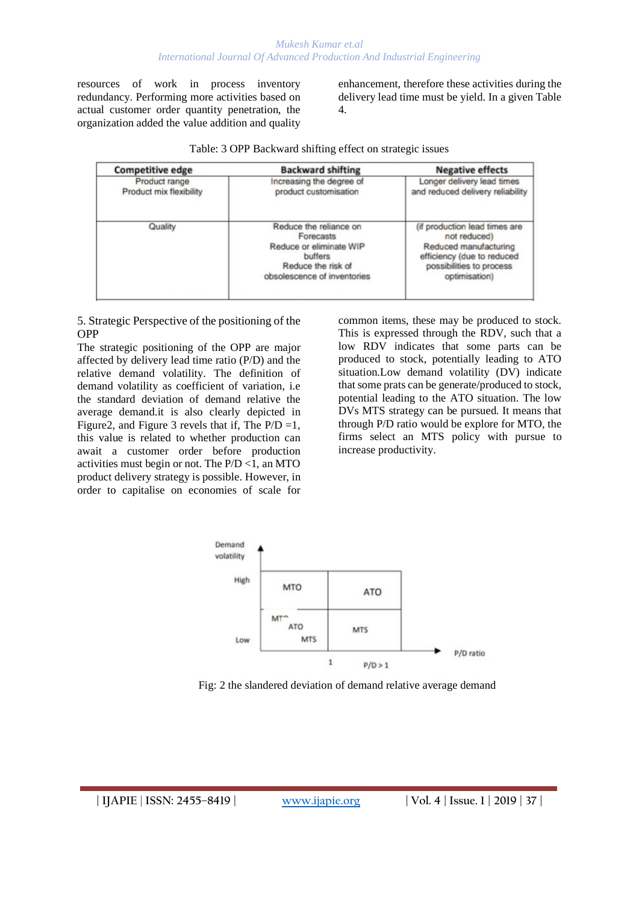resources of work in process inventory redundancy. Performing more activities based on actual customer order quantity penetration, the organization added the value addition and quality

enhancement, therefore these activities during the delivery lead time must be yield. In a given Table 4.

|  | Table: 3 OPP Backward shifting effect on strategic issues |  |
|--|-----------------------------------------------------------|--|
|  |                                                           |  |

| <b>Competitive edge</b>                  | <b>Backward shifting</b>                                                                                                       | <b>Negative effects</b>                                                                                                                           |
|------------------------------------------|--------------------------------------------------------------------------------------------------------------------------------|---------------------------------------------------------------------------------------------------------------------------------------------------|
| Product range<br>Product mix flexibility | Increasing the degree of<br>product customisation                                                                              | Longer delivery lead times<br>and reduced delivery reliability                                                                                    |
| Quality                                  | Reduce the reliance on<br>Forecasts<br>Reduce or eliminate WIP<br>buffers<br>Reduce the risk of<br>obsolescence of inventories | (if production lead times are<br>not reduced)<br>Reduced manufacturing<br>efficiency (due to reduced<br>possibilities to process<br>optimisation) |

5. Strategic Perspective of the positioning of the OPP

The strategic positioning of the OPP are major affected by delivery lead time ratio (P/D) and the relative demand volatility. The definition of demand volatility as coefficient of variation, i.e the standard deviation of demand relative the average demand.it is also clearly depicted in Figure 2, and Figure 3 revels that if, The  $P/D = 1$ , this value is related to whether production can await a customer order before production activities must begin or not. The  $P/D < 1$ , an MTO product delivery strategy is possible. However, in order to capitalise on economies of scale for

common items, these may be produced to stock. This is expressed through the RDV, such that a low RDV indicates that some parts can be produced to stock, potentially leading to ATO situation.Low demand volatility (DV) indicate that some prats can be generate/produced to stock, potential leading to the ATO situation. The low DVs MTS strategy can be pursued. It means that through P/D ratio would be explore for MTO, the firms select an MTS policy with pursue to increase productivity.



Fig: 2 the slandered deviation of demand relative average demand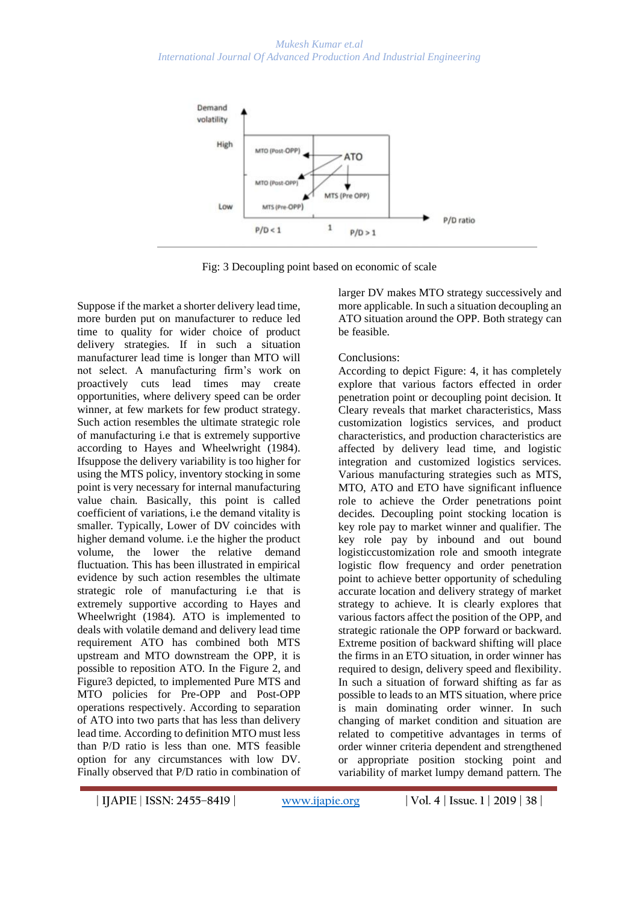

Fig: 3 Decoupling point based on economic of scale

Suppose if the market a shorter delivery lead time, more burden put on manufacturer to reduce led time to quality for wider choice of product delivery strategies. If in such a situation manufacturer lead time is longer than MTO will not select. A manufacturing firm's work on proactively cuts lead times may create opportunities, where delivery speed can be order winner, at few markets for few product strategy. Such action resembles the ultimate strategic role of manufacturing i.e that is extremely supportive according to Hayes and Wheelwright (1984). Ifsuppose the delivery variability is too higher for using the MTS policy, inventory stocking in some point is very necessary for internal manufacturing value chain. Basically, this point is called coefficient of variations, i.e the demand vitality is smaller. Typically, Lower of DV coincides with higher demand volume. i.e the higher the product volume, the lower the relative demand fluctuation. This has been illustrated in empirical evidence by such action resembles the ultimate strategic role of manufacturing i.e that is extremely supportive according to Hayes and Wheelwright (1984). ATO is implemented to deals with volatile demand and delivery lead time requirement ATO has combined both MTS upstream and MTO downstream the OPP, it is possible to reposition ATO. In the Figure 2, and Figure3 depicted, to implemented Pure MTS and MTO policies for Pre-OPP and Post-OPP operations respectively. According to separation of ATO into two parts that has less than delivery lead time. According to definition MTO must less than P/D ratio is less than one. MTS feasible option for any circumstances with low DV. Finally observed that P/D ratio in combination of

larger DV makes MTO strategy successively and more applicable. In such a situation decoupling an ATO situation around the OPP. Both strategy can be feasible.

## Conclusions:

According to depict Figure: 4, it has completely explore that various factors effected in order penetration point or decoupling point decision. It Cleary reveals that market characteristics, Mass customization logistics services, and product characteristics, and production characteristics are affected by delivery lead time, and logistic integration and customized logistics services. Various manufacturing strategies such as MTS, MTO, ATO and ETO have significant influence role to achieve the Order penetrations point decides. Decoupling point stocking location is key role pay to market winner and qualifier. The key role pay by inbound and out bound logisticcustomization role and smooth integrate logistic flow frequency and order penetration point to achieve better opportunity of scheduling accurate location and delivery strategy of market strategy to achieve. It is clearly explores that various factors affect the position of the OPP, and strategic rationale the OPP forward or backward. Extreme position of backward shifting will place the firms in an ETO situation, in order winner has required to design, delivery speed and flexibility. In such a situation of forward shifting as far as possible to leads to an MTS situation, where price is main dominating order winner. In such changing of market condition and situation are related to competitive advantages in terms of order winner criteria dependent and strengthened or appropriate position stocking point and variability of market lumpy demand pattern. The

**<sup>|</sup> IJAPIE** | **ISSN: 2455–8419 | [www.ijapie.org](http://www.ijapie.org/) | Vol. 4 | Issue. 1 | 2019 | 38 |**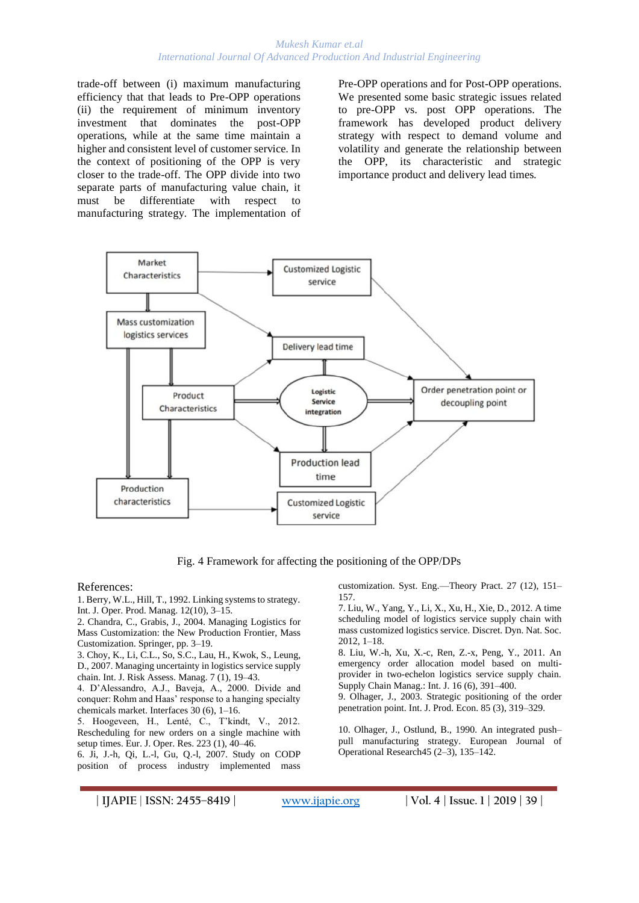#### *Mukesh Kumar et.al International Journal Of Advanced Production And Industrial Engineering*

trade-off between (i) maximum manufacturing efficiency that that leads to Pre-OPP operations (ii) the requirement of minimum inventory investment that dominates the post-OPP operations, while at the same time maintain a higher and consistent level of customer service. In the context of positioning of the OPP is very closer to the trade-off. The OPP divide into two separate parts of manufacturing value chain, it must be differentiate with respect to manufacturing strategy. The implementation of Pre-OPP operations and for Post-OPP operations. We presented some basic strategic issues related to pre-OPP vs. post OPP operations. The framework has developed product delivery strategy with respect to demand volume and volatility and generate the relationship between the OPP, its characteristic and strategic importance product and delivery lead times.



Fig. 4 Framework for affecting the positioning of the OPP/DPs

References:

1. Berry, W.L., Hill, T., 1992. Linking systems to strategy. Int. J. Oper. Prod. Manag. 12(10), 3–15.

2. Chandra, C., Grabis, J., 2004. Managing Logistics for Mass Customization: the New Production Frontier, Mass Customization. Springer, pp. 3–19.

3. Choy, K., Li, C.L., So, S.C., Lau, H., Kwok, S., Leung, D., 2007. Managing uncertainty in logistics service supply chain. Int. J. Risk Assess. Manag. 7 (1), 19–43.

4. D'Alessandro, A.J., Baveja, A., 2000. Divide and conquer: Rohm and Haas' response to a hanging specialty chemicals market. Interfaces 30 (6), 1–16.

5. Hoogeveen, H., Lenté, C., T'kindt, V., 2012. Rescheduling for new orders on a single machine with setup times. Eur. J. Oper. Res. 223 (1), 40–46.

6. Ji, J.-h, Qi, L.-l, Gu, Q.-l, 2007. Study on CODP position of process industry implemented mass

customization. Syst. Eng.—Theory Pract. 27 (12), 151– 157.

7. Liu, W., Yang, Y., Li, X., Xu, H., Xie, D., 2012. A time scheduling model of logistics service supply chain with mass customized logistics service. Discret. Dyn. Nat. Soc. 2012, 1–18.

8. Liu, W.-h, Xu, X.-c, Ren, Z.-x, Peng, Y., 2011. An emergency order allocation model based on multiprovider in two-echelon logistics service supply chain. Supply Chain Manag.: Int. J. 16 (6), 391–400.

9. Olhager, J., 2003. Strategic positioning of the order penetration point. Int. J. Prod. Econ. 85 (3), 319–329.

10. Olhager, J., Ostlund, B., 1990. An integrated push– pull manufacturing strategy. European Journal of Operational Research45 (2–3), 135–142.